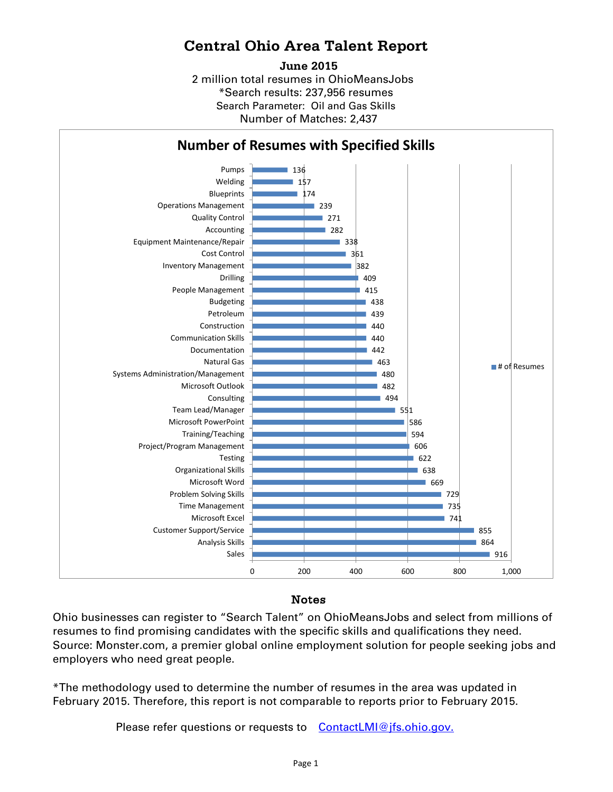## **Central Ohio Area Talent Report**

2 million total resumes in OhioMeansJobs \*Search results: 237,956 resumes Number of Matches: 2,437 **June 2015** Search Parameter: Oil and Gas Skills



## Notes

Ohio businesses can register to "Search Talent" on OhioMeansJobs and select from millions of resumes to find promising candidates with the specific skills and qualifications they need. Source: Monster.com, a premier global online employment solution for people seeking jobs and employers who need great people.

\*The methodology used to determine the number of resumes in the area was updated in February 2015. Therefore, this report is not comparable to reports prior to February 2015.

Please refer questions or requests to [ContactLMI@jfs.ohio.gov.](mailto:ContactLMI@jfs.ohio.gov.)